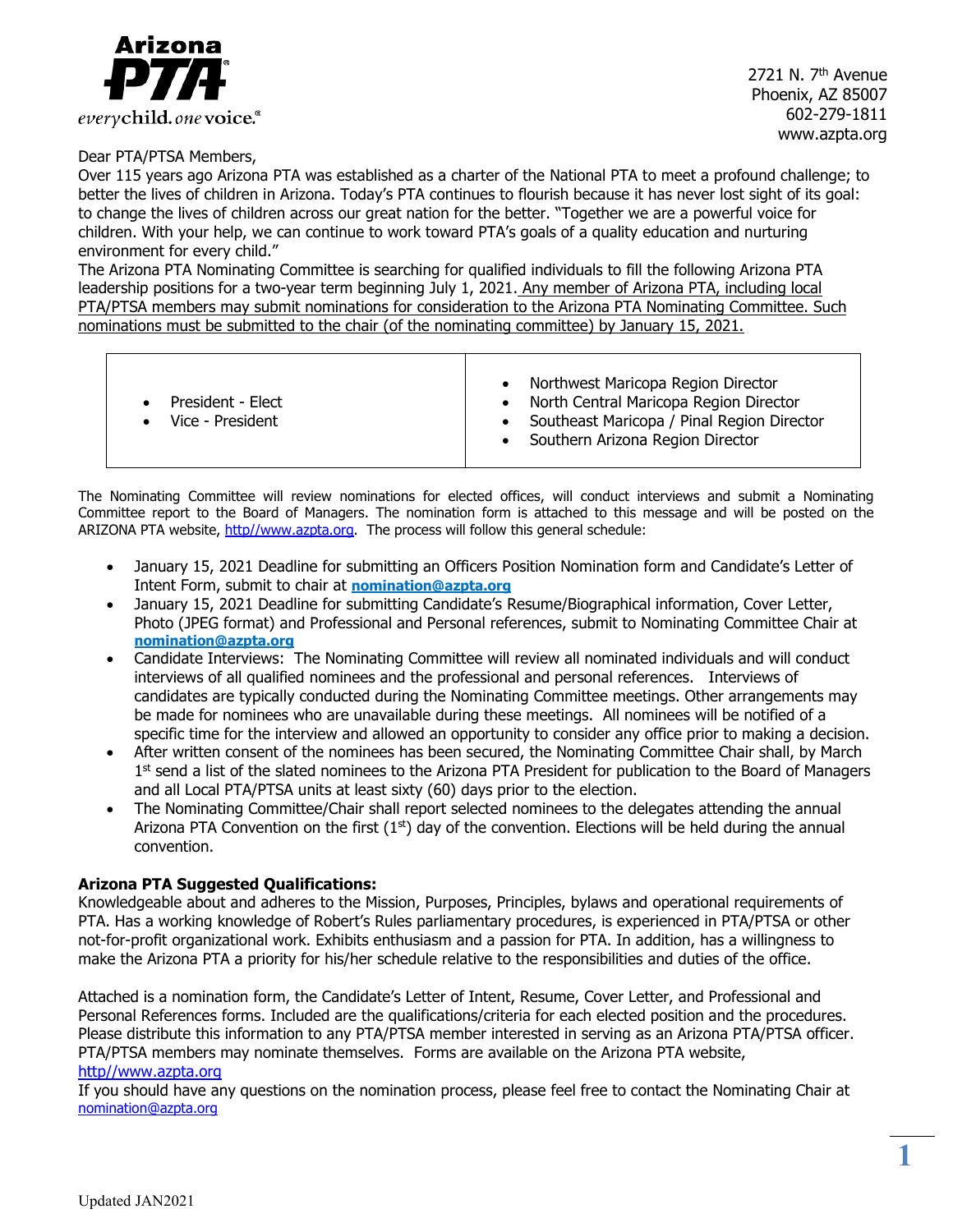

2721 N. 7th Avenue Phoenix, AZ 85007 602-279-1811 www.azpta.org

Dear PTA/PTSA Members,

Over 115 years ago Arizona PTA was established as a charter of the National PTA to meet a profound challenge; to better the lives of children in Arizona. Today's PTA continues to flourish because it has never lost sight of its goal: to change the lives of children across our great nation for the better. "Together we are a powerful voice for children. With your help, we can continue to work toward PTA's goals of a quality education and nurturing environment for every child."

The Arizona PTA Nominating Committee is searching for qualified individuals to fill the following Arizona PTA leadership positions for a two-year term beginning July 1, 2021. Any member of Arizona PTA, including local PTA/PTSA members may submit nominations for consideration to the Arizona PTA Nominating Committee. Such nominations must be submitted to the chair (of the nominating committee) by January 15, 2021.

| President - Elect<br>Vice - President | Northwest Maricopa Region Director<br>North Central Maricopa Region Director<br>Southeast Maricopa / Pinal Region Director<br>Southern Arizona Region Director |
|---------------------------------------|----------------------------------------------------------------------------------------------------------------------------------------------------------------|
|---------------------------------------|----------------------------------------------------------------------------------------------------------------------------------------------------------------|

The Nominating Committee will review nominations for elected offices, will conduct interviews and submit a Nominating Committee report to the Board of Managers. The nomination form is attached to this message and will be posted on the ARIZONA PTA website, http//www.azpta.org. The process will follow this general schedule:

- January 15, 2021 Deadline for submitting an Officers Position Nomination form and Candidate's Letter of Intent Form, submit to chair at **nomination@azpta.org**
- January 15, 2021 Deadline for submitting Candidate's Resume/Biographical information, Cover Letter, Photo (JPEG format) and Professional and Personal references, submit to Nominating Committee Chair at **nomination@azpta.org**
- Candidate Interviews: The Nominating Committee will review all nominated individuals and will conduct interviews of all qualified nominees and the professional and personal references. Interviews of candidates are typically conducted during the Nominating Committee meetings. Other arrangements may be made for nominees who are unavailable during these meetings. All nominees will be notified of a specific time for the interview and allowed an opportunity to consider any office prior to making a decision.
- After written consent of the nominees has been secured, the Nominating Committee Chair shall, by March 1<sup>st</sup> send a list of the slated nominees to the Arizona PTA President for publication to the Board of Managers and all Local PTA/PTSA units at least sixty (60) days prior to the election.
- The Nominating Committee/Chair shall report selected nominees to the delegates attending the annual Arizona PTA Convention on the first  $(1<sup>st</sup>)$  day of the convention. Elections will be held during the annual convention.

### **Arizona PTA Suggested Qualifications:**

Knowledgeable about and adheres to the Mission, Purposes, Principles, bylaws and operational requirements of PTA. Has a working knowledge of Robert's Rules parliamentary procedures, is experienced in PTA/PTSA or other not-for-profit organizational work. Exhibits enthusiasm and a passion for PTA. In addition, has a willingness to make the Arizona PTA a priority for his/her schedule relative to the responsibilities and duties of the office.

Attached is a nomination form, the Candidate's Letter of Intent, Resume, Cover Letter, and Professional and Personal References forms. Included are the qualifications/criteria for each elected position and the procedures. Please distribute this information to any PTA/PTSA member interested in serving as an Arizona PTA/PTSA officer. PTA/PTSA members may nominate themselves. Forms are available on the Arizona PTA website,

### http//www.azpta.org

If you should have any questions on the nomination process, please feel free to contact the Nominating Chair at [nomination@azpta.org](mailto:nomination@azpta.org)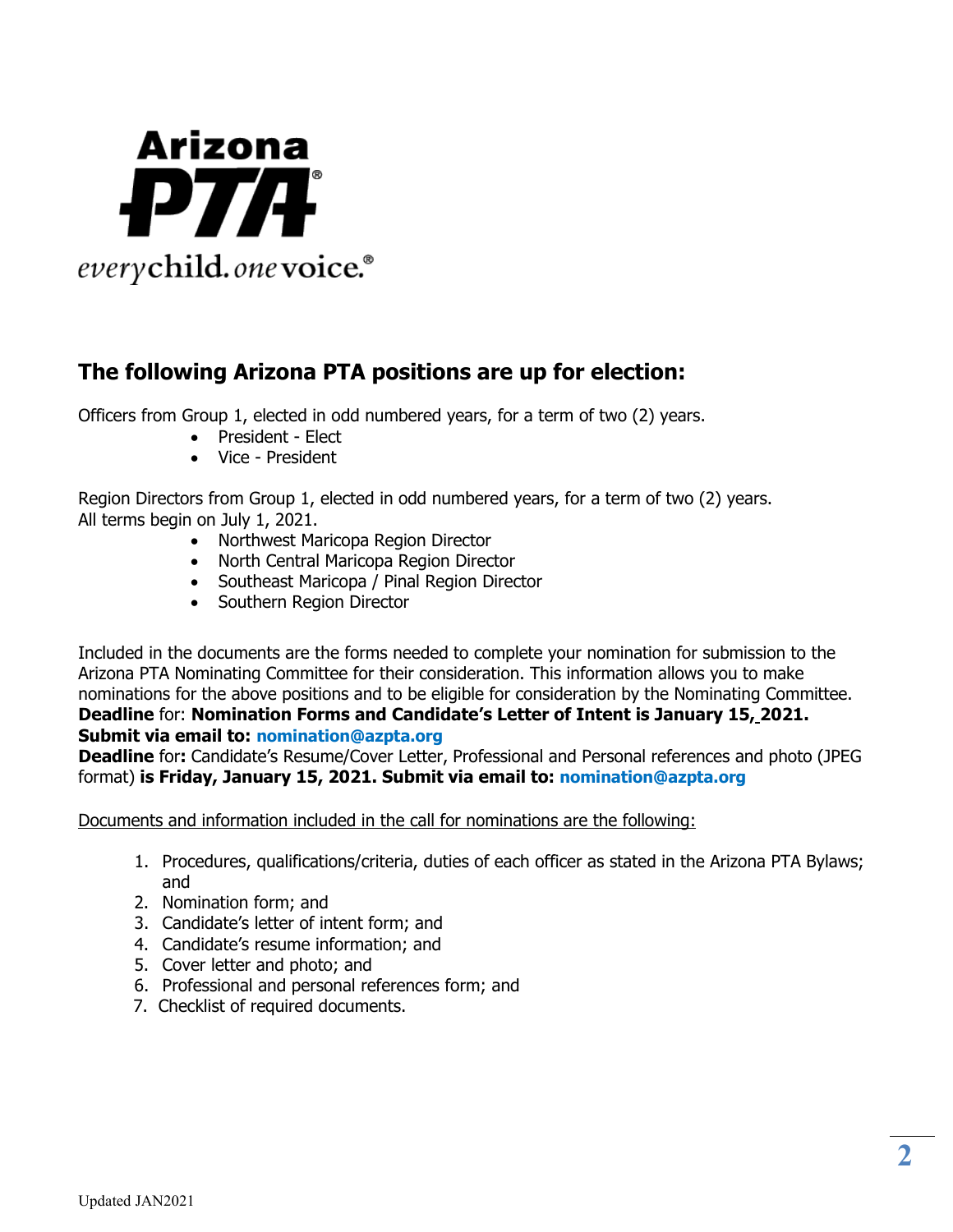

# **The following Arizona PTA positions are up for election:**

Officers from Group 1, elected in odd numbered years, for a term of two (2) years.

- President Elect
- Vice President

Region Directors from Group 1, elected in odd numbered years, for a term of two (2) years. All terms begin on July 1, 2021.

- Northwest Maricopa Region Director
- North Central Maricopa Region Director
- Southeast Maricopa / Pinal Region Director
- Southern Region Director

Included in the documents are the forms needed to complete your nomination for submission to the Arizona PTA Nominating Committee for their consideration. This information allows you to make nominations for the above positions and to be eligible for consideration by the Nominating Committee. **Deadline** for: **Nomination Forms and Candidate's Letter of Intent is January 15, 2021. Submit via email to: nomination@azpta.org**

**Deadline** for**:** Candidate's Resume/Cover Letter, Professional and Personal references and photo (JPEG format) **is Friday, January 15, 2021. Submit via email to: nomination@azpta.org**

Documents and information included in the call for nominations are the following:

- 1. Procedures, qualifications/criteria, duties of each officer as stated in the Arizona PTA Bylaws; and
- 2. Nomination form; and
- 3. Candidate's letter of intent form; and
- 4. Candidate's resume information; and
- 5. Cover letter and photo; and
- 6. Professional and personal references form; and
- 7. Checklist of required documents.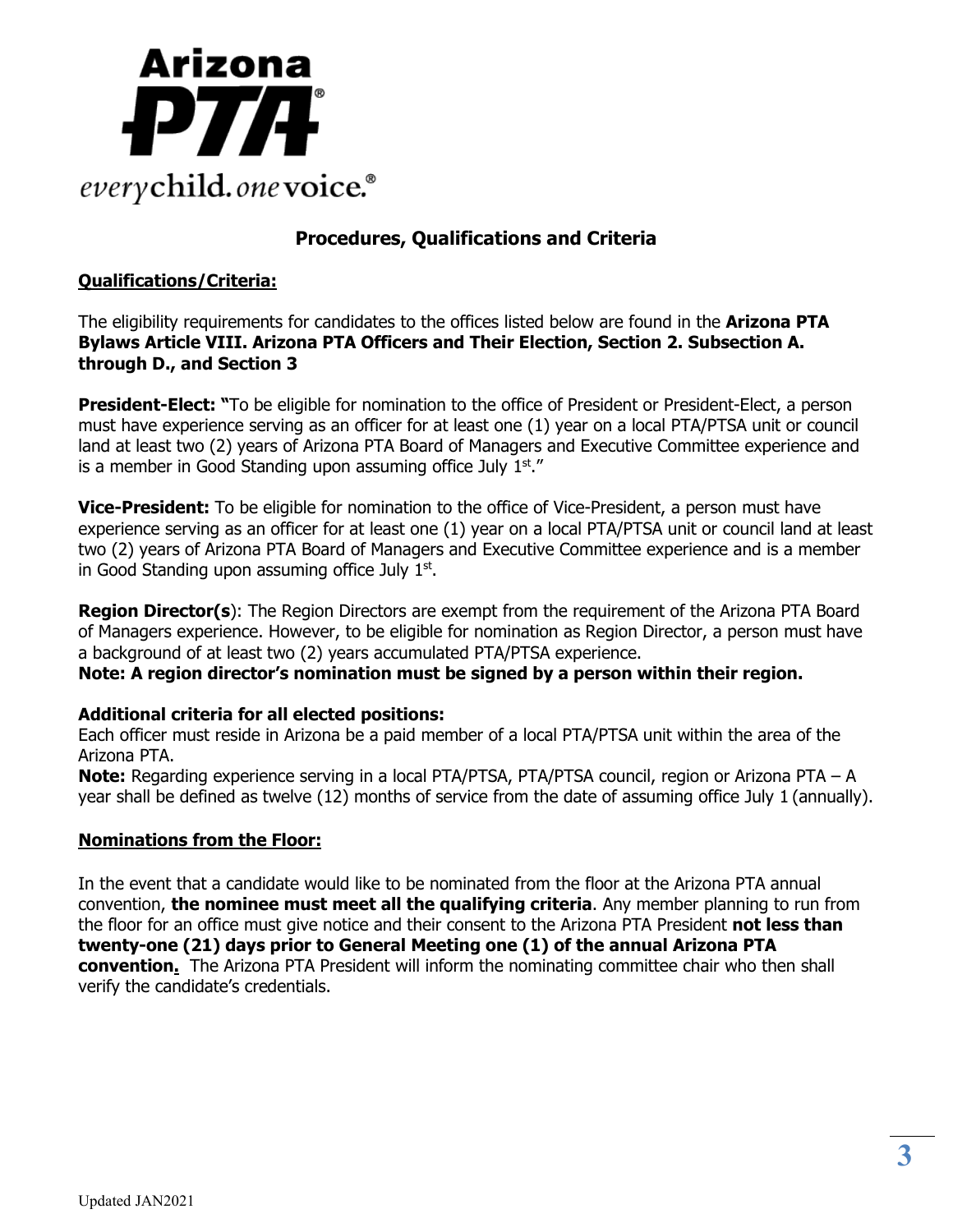

# **Procedures, Qualifications and Criteria**

# **Qualifications/Criteria:**

The eligibility requirements for candidates to the offices listed below are found in the **Arizona PTA Bylaws Article VIII. Arizona PTA Officers and Their Election, Section 2. Subsection A. through D., and Section 3**

**President-Elect:** "To be eligible for nomination to the office of President or President-Elect, a person must have experience serving as an officer for at least one (1) year on a local PTA/PTSA unit or council land at least two (2) years of Arizona PTA Board of Managers and Executive Committee experience and is a member in Good Standing upon assuming office July  $1<sup>st</sup>$ ."

**Vice-President:** To be eligible for nomination to the office of Vice-President, a person must have experience serving as an officer for at least one (1) year on a local PTA/PTSA unit or council land at least two (2) years of Arizona PTA Board of Managers and Executive Committee experience and is a member in Good Standing upon assuming office July  $1<sup>st</sup>$ .

**Region Director(s**): The Region Directors are exempt from the requirement of the Arizona PTA Board of Managers experience. However, to be eligible for nomination as Region Director, a person must have a background of at least two (2) years accumulated PTA/PTSA experience.

**Note: A region director's nomination must be signed by a person within their region.** 

# **Additional criteria for all elected positions:**

Each officer must reside in Arizona be a paid member of a local PTA/PTSA unit within the area of the Arizona PTA.

**Note:** Regarding experience serving in a local PTA/PTSA, PTA/PTSA council, region or Arizona PTA – A year shall be defined as twelve (12) months of service from the date of assuming office July 1 (annually).

# **Nominations from the Floor:**

In the event that a candidate would like to be nominated from the floor at the Arizona PTA annual convention, **the nominee must meet all the qualifying criteria**. Any member planning to run from the floor for an office must give notice and their consent to the Arizona PTA President **not less than twenty-one (21) days prior to General Meeting one (1) of the annual Arizona PTA convention.** The Arizona PTA President will inform the nominating committee chair who then shall verify the candidate's credentials.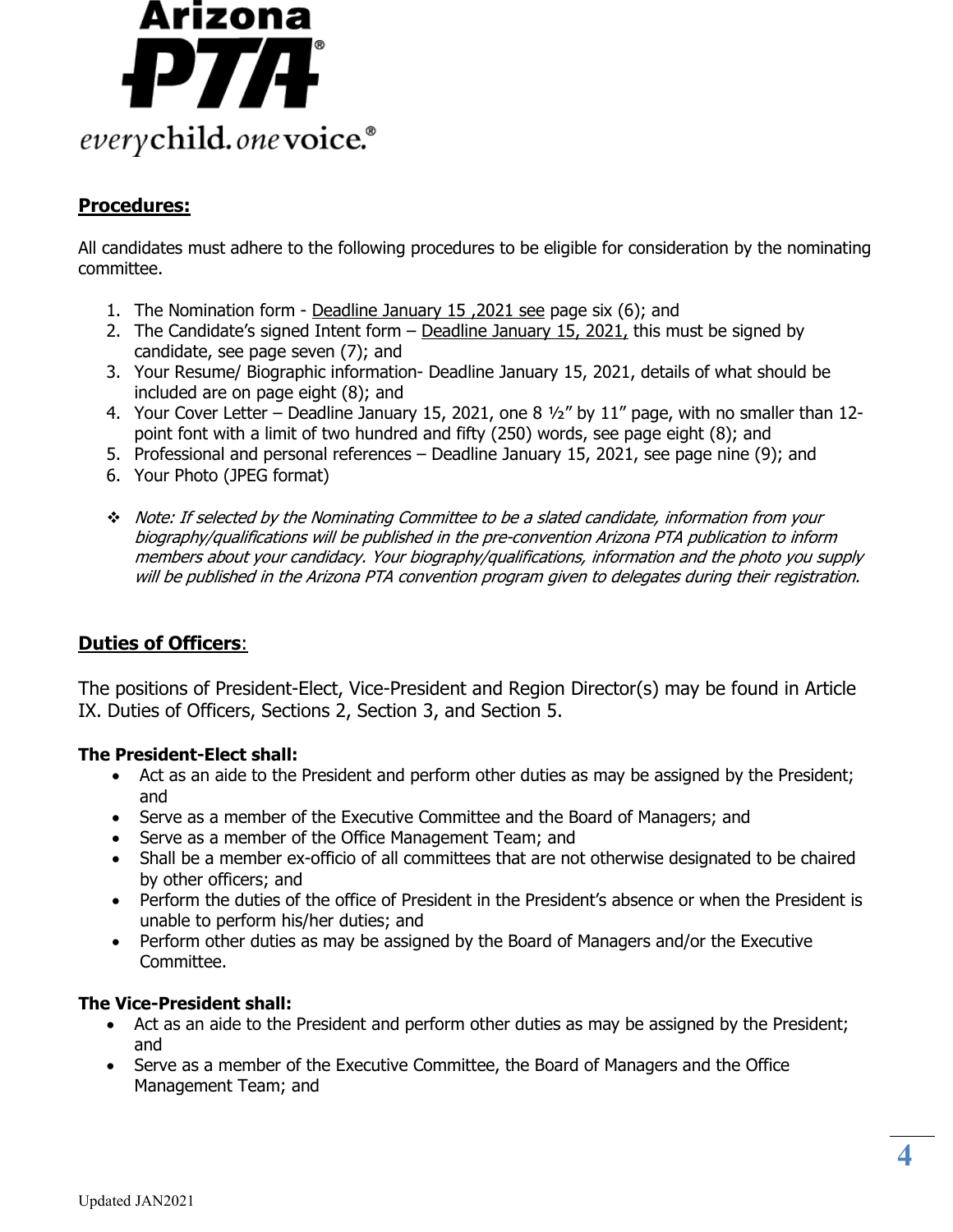

# **Procedures:**

All candidates must adhere to the following procedures to be eligible for consideration by the nominating committee.

- 1. The Nomination form Deadline January 15 ,2021 see page six (6); and
- 2. The Candidate's signed Intent form Deadline January 15, 2021, this must be signed by candidate, see page seven (7); and
- 3. Your Resume/ Biographic information- Deadline January 15, 2021, details of what should be included are on page eight (8); and
- 4. Your Cover Letter Deadline January 15, 2021, one 8 ½" by 11" page, with no smaller than 12 point font with a limit of two hundred and fifty (250) words, see page eight (8); and
- 5. Professional and personal references Deadline January 15, 2021, see page nine (9); and
- 6. Your Photo (JPEG format)
- Note: If selected by the Nominating Committee to be a slated candidate, information from your biography/qualifications will be published in the pre-convention Arizona PTA publication to inform members about your candidacy. Your biography/qualifications, information and the photo you supply will be published in the Arizona PTA convention program given to delegates during their registration.

# **Duties of Officers**:

The positions of President-Elect, Vice-President and Region Director(s) may be found in Article IX. Duties of Officers, Sections 2, Section 3, and Section 5.

### **The President-Elect shall:**

- Act as an aide to the President and perform other duties as may be assigned by the President; and
- Serve as a member of the Executive Committee and the Board of Managers; and
- Serve as a member of the Office Management Team; and
- Shall be a member ex-officio of all committees that are not otherwise designated to be chaired by other officers; and
- Perform the duties of the office of President in the President's absence or when the President is unable to perform his/her duties; and
- Perform other duties as may be assigned by the Board of Managers and/or the Executive Committee.

### **The Vice-President shall:**

- Act as an aide to the President and perform other duties as may be assigned by the President; and
- Serve as a member of the Executive Committee, the Board of Managers and the Office Management Team; and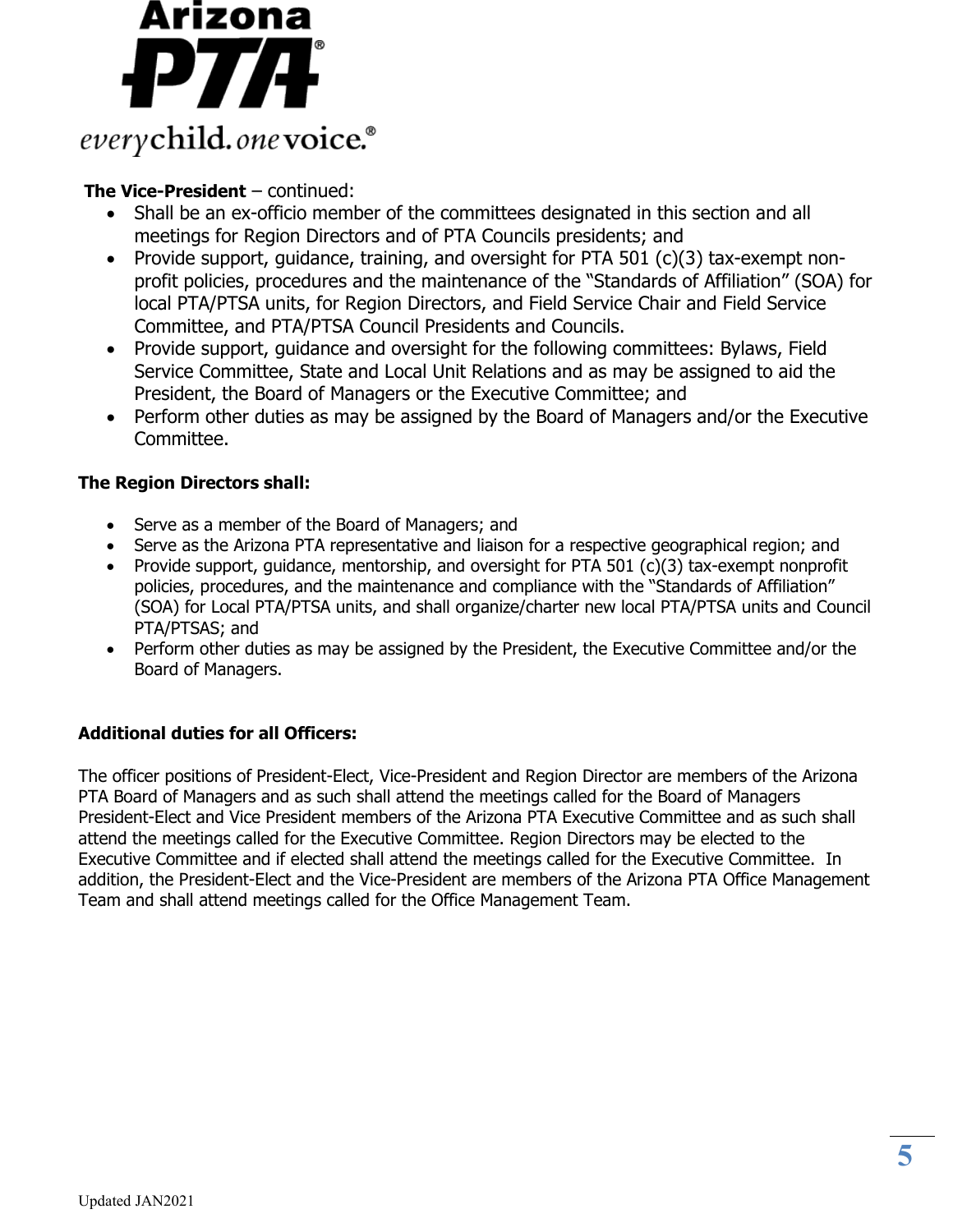

# **The Vice-President** – continued:

- Shall be an ex-officio member of the committees designated in this section and all meetings for Region Directors and of PTA Councils presidents; and
- Provide support, guidance, training, and oversight for PTA 501 (c)(3) tax-exempt nonprofit policies, procedures and the maintenance of the "Standards of Affiliation" (SOA) for local PTA/PTSA units, for Region Directors, and Field Service Chair and Field Service Committee, and PTA/PTSA Council Presidents and Councils.
- Provide support, guidance and oversight for the following committees: Bylaws, Field Service Committee, State and Local Unit Relations and as may be assigned to aid the President, the Board of Managers or the Executive Committee; and
- Perform other duties as may be assigned by the Board of Managers and/or the Executive Committee.

# **The Region Directors shall:**

- Serve as a member of the Board of Managers; and
- Serve as the Arizona PTA representative and liaison for a respective geographical region; and
- Provide support, guidance, mentorship, and oversight for PTA 501 (c)(3) tax-exempt nonprofit policies, procedures, and the maintenance and compliance with the "Standards of Affiliation" (SOA) for Local PTA/PTSA units, and shall organize/charter new local PTA/PTSA units and Council PTA/PTSAS; and
- Perform other duties as may be assigned by the President, the Executive Committee and/or the Board of Managers.

# **Additional duties for all Officers:**

The officer positions of President-Elect, Vice-President and Region Director are members of the Arizona PTA Board of Managers and as such shall attend the meetings called for the Board of Managers President-Elect and Vice President members of the Arizona PTA Executive Committee and as such shall attend the meetings called for the Executive Committee. Region Directors may be elected to the Executive Committee and if elected shall attend the meetings called for the Executive Committee. In addition, the President-Elect and the Vice-President are members of the Arizona PTA Office Management Team and shall attend meetings called for the Office Management Team.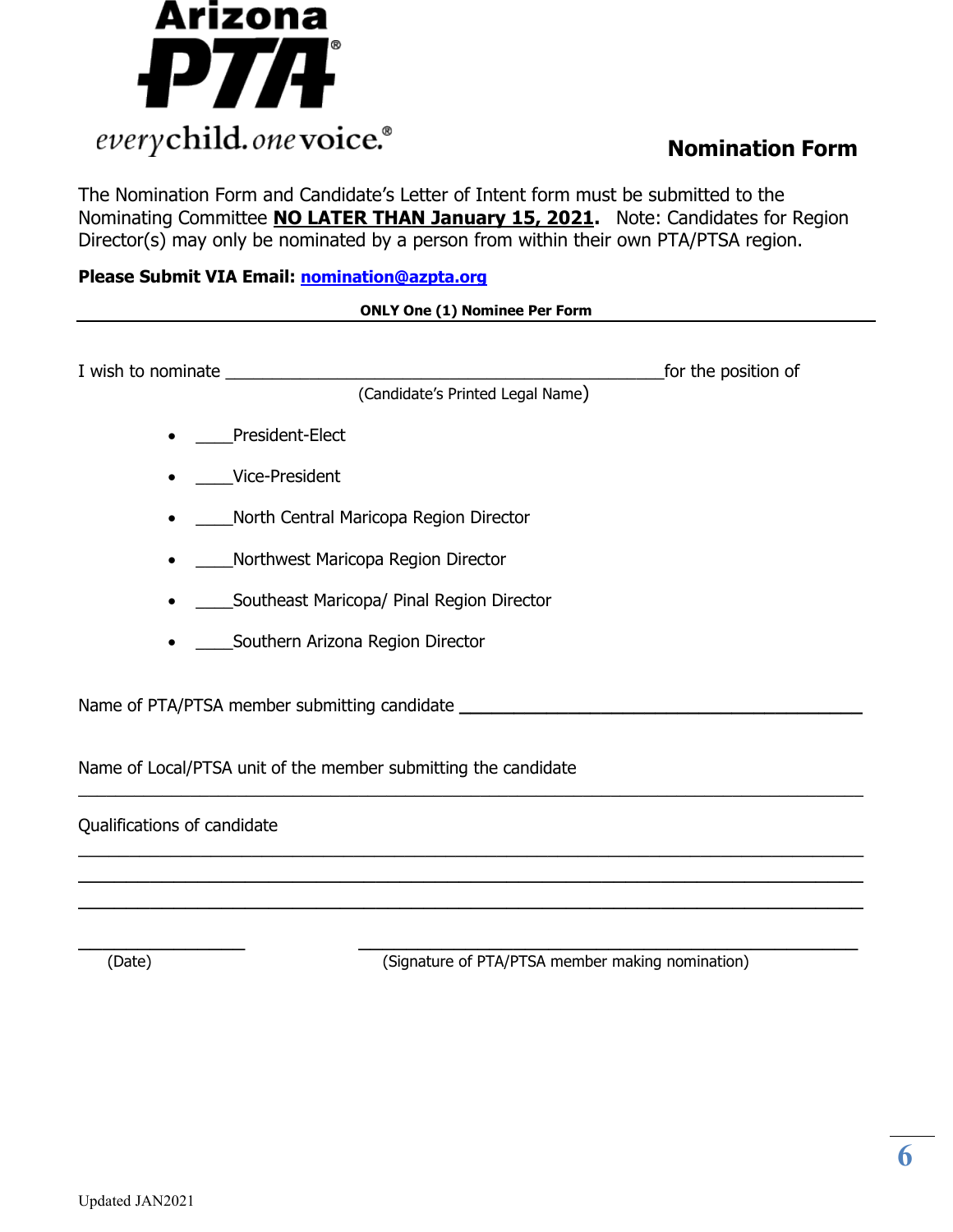

The Nomination Form and Candidate's Letter of Intent form must be submitted to the Nominating Committee **NO LATER THAN January 15, 2021.** Note: Candidates for Region Director(s) may only be nominated by a person from within their own PTA/PTSA region.

## **Please Submit VIA Email: [nomination@azpta.org](mailto:nomination@azpta.org)**

### **ONLY One (1) Nominee Per Form**

|                                                                | for the position of |
|----------------------------------------------------------------|---------------------|
| (Candidate's Printed Legal Name)                               |                     |
| President-Elect                                                |                     |
| Vice-President                                                 |                     |
| North Central Maricopa Region Director                         |                     |
| Northwest Maricopa Region Director                             |                     |
| Southeast Maricopa/ Pinal Region Director                      |                     |
| Southern Arizona Region Director                               |                     |
| Name of PTA/PTSA member submitting candidate                   |                     |
| Name of Local/PTSA unit of the member submitting the candidate |                     |

 $\_$ 

\_\_\_\_\_\_\_\_\_\_\_\_\_\_\_\_\_\_\_\_\_\_\_\_\_\_\_\_\_\_\_\_\_\_\_\_\_\_\_\_\_\_\_\_\_\_\_\_\_\_\_\_\_\_\_\_\_\_\_\_\_\_\_\_\_\_\_\_\_\_\_\_\_\_\_\_\_  $\mathcal{L}_\text{max}$  , and the contract of the contract of the contract of the contract of the contract of the contract of the contract of the contract of the contract of the contract of the contract of the contract of the contr  $\mathcal{L}_\text{max}$  , and the contract of the contract of the contract of the contract of the contract of the contract of the contract of the contract of the contract of the contract of the contract of the contract of the contr

Qualifications of candidate

(Date) **Example 2** (Signature of PTA/PTSA member making nomination)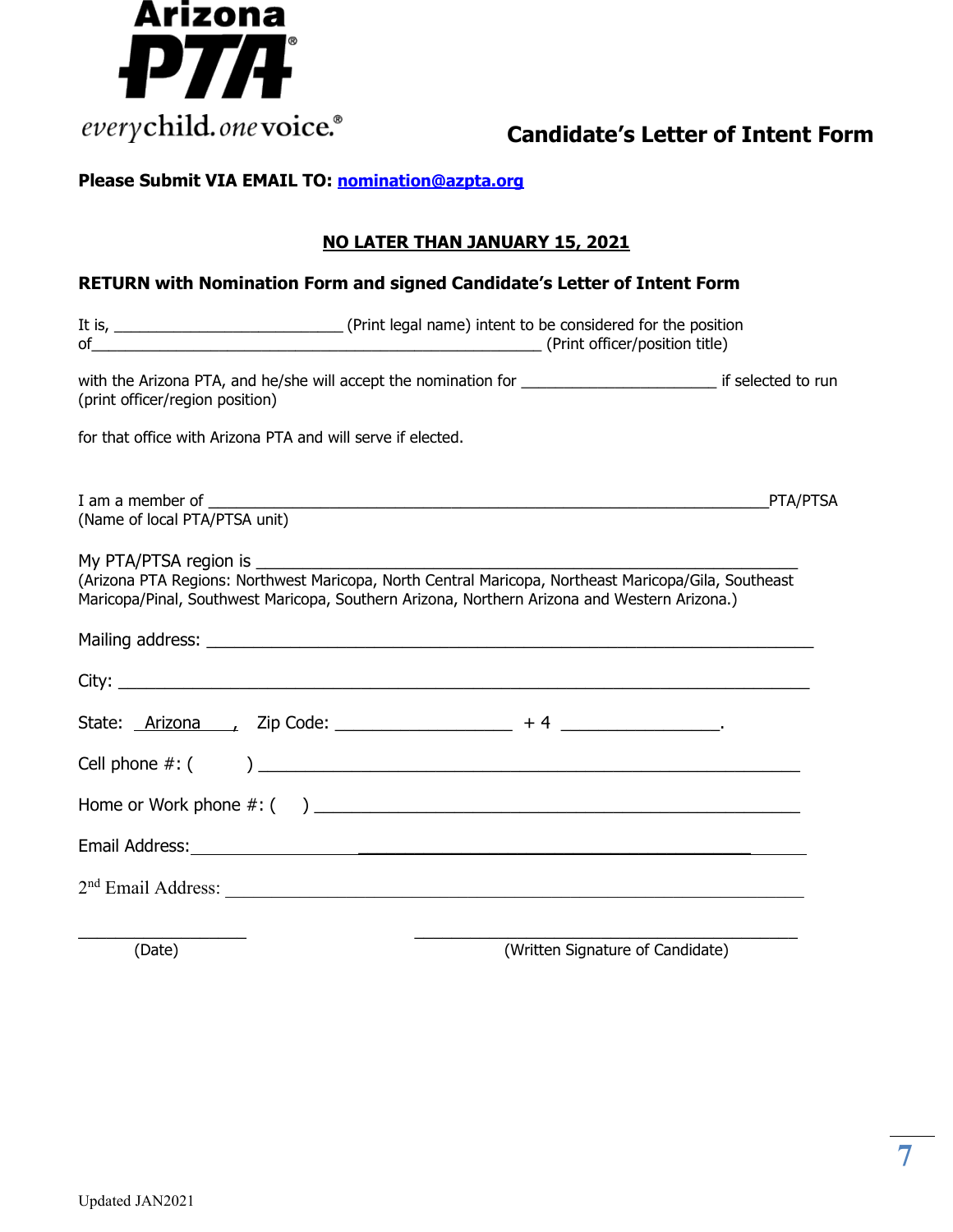

# **Please Submit VIA EMAIL TO: [nomination@azpta.org](mailto:nomination@azpta.org)**

# **NO LATER THAN JANUARY 15, 2021**

# **RETURN with Nomination Form and signed Candidate's Letter of Intent Form**

| (print officer/region position)                             | with the Arizona PTA, and he/she will accept the nomination for __________________________________ if selected to run                                                                                |                                  |  |  |
|-------------------------------------------------------------|------------------------------------------------------------------------------------------------------------------------------------------------------------------------------------------------------|----------------------------------|--|--|
| for that office with Arizona PTA and will serve if elected. |                                                                                                                                                                                                      |                                  |  |  |
|                                                             |                                                                                                                                                                                                      | PTA/PTSA                         |  |  |
| My PTA/PTSA region is                                       | (Arizona PTA Regions: Northwest Maricopa, North Central Maricopa, Northeast Maricopa/Gila, Southeast<br>Maricopa/Pinal, Southwest Maricopa, Southern Arizona, Northern Arizona and Western Arizona.) |                                  |  |  |
|                                                             |                                                                                                                                                                                                      |                                  |  |  |
|                                                             |                                                                                                                                                                                                      |                                  |  |  |
|                                                             |                                                                                                                                                                                                      |                                  |  |  |
|                                                             |                                                                                                                                                                                                      |                                  |  |  |
|                                                             |                                                                                                                                                                                                      |                                  |  |  |
|                                                             |                                                                                                                                                                                                      |                                  |  |  |
|                                                             |                                                                                                                                                                                                      |                                  |  |  |
| (Date)                                                      |                                                                                                                                                                                                      | (Written Signature of Candidate) |  |  |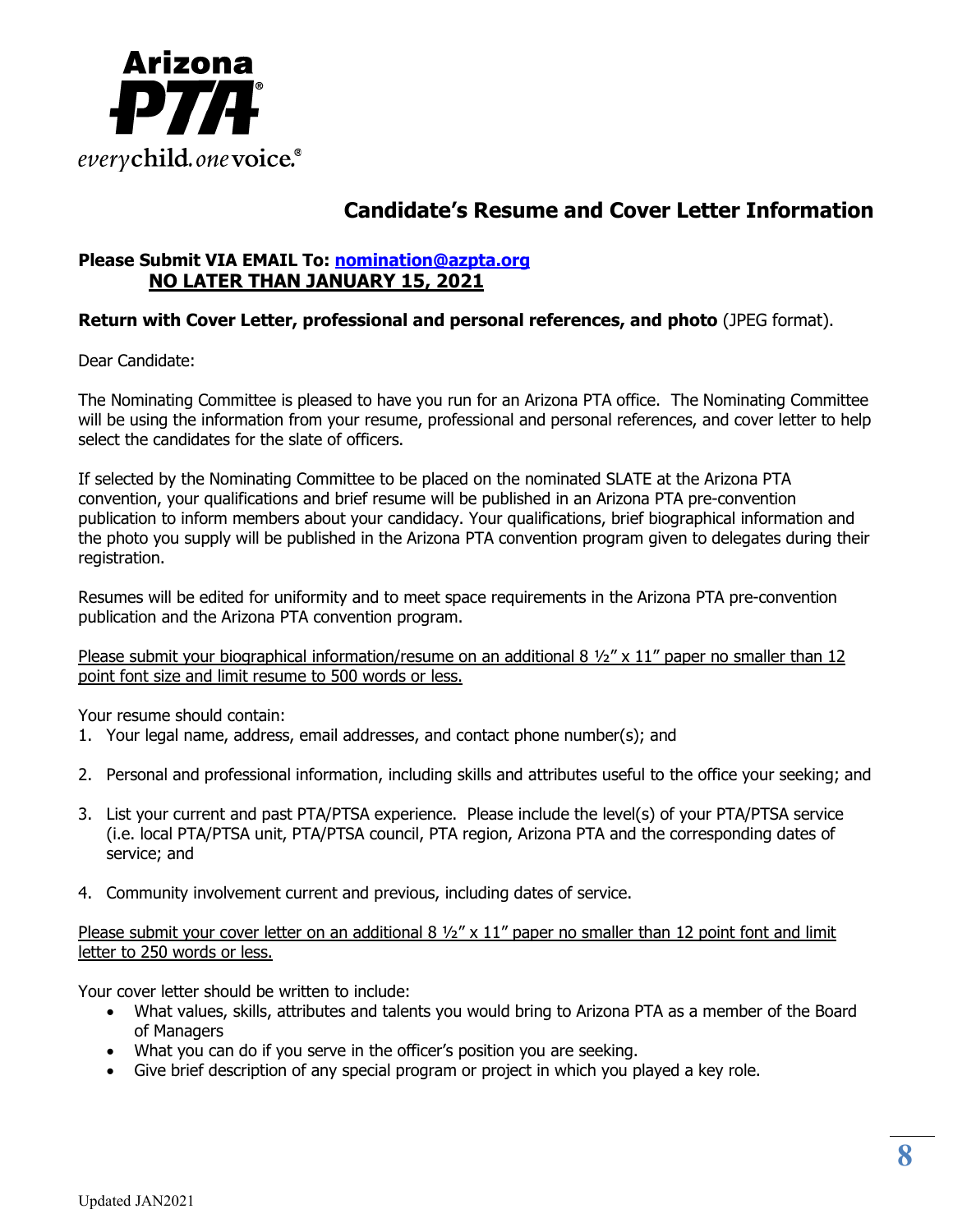

# **Candidate's Resume and Cover Letter Information**

# **Please Submit VIA EMAIL To: [nomination@azpta.org](mailto:nomination@azpta.org) NO LATER THAN JANUARY 15, 2021**

# **Return with Cover Letter, professional and personal references, and photo** (JPEG format).

Dear Candidate:

The Nominating Committee is pleased to have you run for an Arizona PTA office. The Nominating Committee will be using the information from your resume, professional and personal references, and cover letter to help select the candidates for the slate of officers.

If selected by the Nominating Committee to be placed on the nominated SLATE at the Arizona PTA convention, your qualifications and brief resume will be published in an Arizona PTA pre-convention publication to inform members about your candidacy. Your qualifications, brief biographical information and the photo you supply will be published in the Arizona PTA convention program given to delegates during their registration.

Resumes will be edited for uniformity and to meet space requirements in the Arizona PTA pre-convention publication and the Arizona PTA convention program.

Please submit your biographical information/resume on an additional 8  $\frac{1}{2}$  x 11" paper no smaller than 12 point font size and limit resume to 500 words or less.

Your resume should contain:

- 1. Your legal name, address, email addresses, and contact phone number(s); and
- 2. Personal and professional information, including skills and attributes useful to the office your seeking; and
- 3. List your current and past PTA/PTSA experience. Please include the level(s) of your PTA/PTSA service (i.e. local PTA/PTSA unit, PTA/PTSA council, PTA region, Arizona PTA and the corresponding dates of service; and
- 4. Community involvement current and previous, including dates of service.

Please submit your cover letter on an additional  $8\frac{1}{2}$ " x 11" paper no smaller than 12 point font and limit letter to 250 words or less.

Your cover letter should be written to include:

- What values, skills, attributes and talents you would bring to Arizona PTA as a member of the Board of Managers
- What you can do if you serve in the officer's position you are seeking.
- Give brief description of any special program or project in which you played a key role.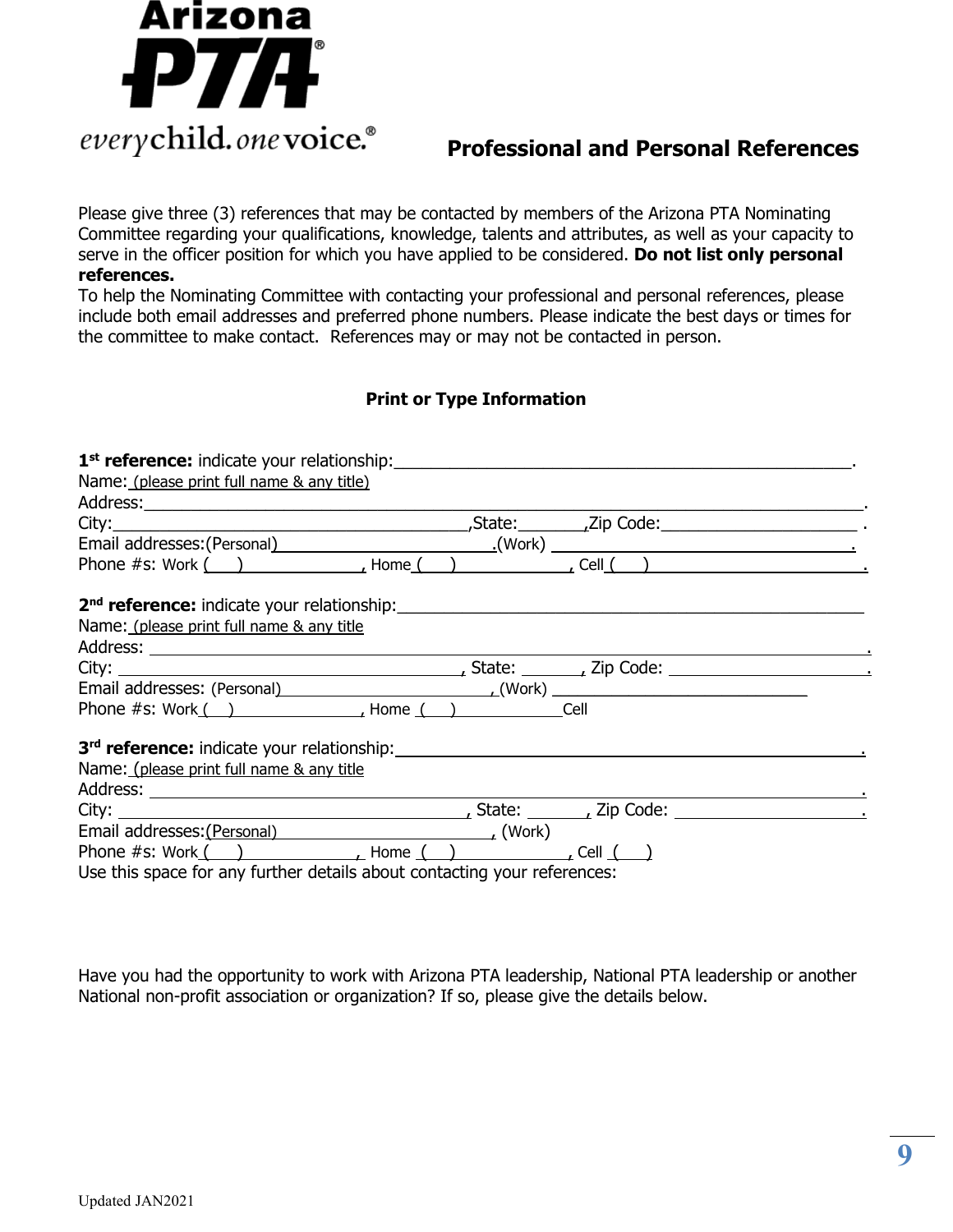

Please give three (3) references that may be contacted by members of the Arizona PTA Nominating Committee regarding your qualifications, knowledge, talents and attributes, as well as your capacity to serve in the officer position for which you have applied to be considered. **Do not list only personal references.**

To help the Nominating Committee with contacting your professional and personal references, please include both email addresses and preferred phone numbers. Please indicate the best days or times for the committee to make contact. References may or may not be contacted in person.

# **Print or Type Information**

| Name: (please print full name & any title) |                                                                                                                                                                                                                                |  |
|--------------------------------------------|--------------------------------------------------------------------------------------------------------------------------------------------------------------------------------------------------------------------------------|--|
|                                            |                                                                                                                                                                                                                                |  |
|                                            |                                                                                                                                                                                                                                |  |
|                                            |                                                                                                                                                                                                                                |  |
|                                            |                                                                                                                                                                                                                                |  |
|                                            |                                                                                                                                                                                                                                |  |
| Name: (please print full name & any title  |                                                                                                                                                                                                                                |  |
|                                            |                                                                                                                                                                                                                                |  |
|                                            |                                                                                                                                                                                                                                |  |
|                                            |                                                                                                                                                                                                                                |  |
|                                            | Phone #s: Work() (and Alberta Level Alberta Level Alberta Level Alberta Level Alberta Level Alberta Level Alberta Level Alberta Level Alberta Level Alberta Level Alberta Level Alberta Level Alberta Level Alberta Level Albe |  |
|                                            |                                                                                                                                                                                                                                |  |
| Name: (please print full name & any title  |                                                                                                                                                                                                                                |  |
|                                            |                                                                                                                                                                                                                                |  |
|                                            |                                                                                                                                                                                                                                |  |
|                                            | Email addresses: (Personal) (Work)                                                                                                                                                                                             |  |
|                                            |                                                                                                                                                                                                                                |  |
|                                            | Use this space for any further details about contacting your references:                                                                                                                                                       |  |

Have you had the opportunity to work with Arizona PTA leadership, National PTA leadership or another National non-profit association or organization? If so, please give the details below.